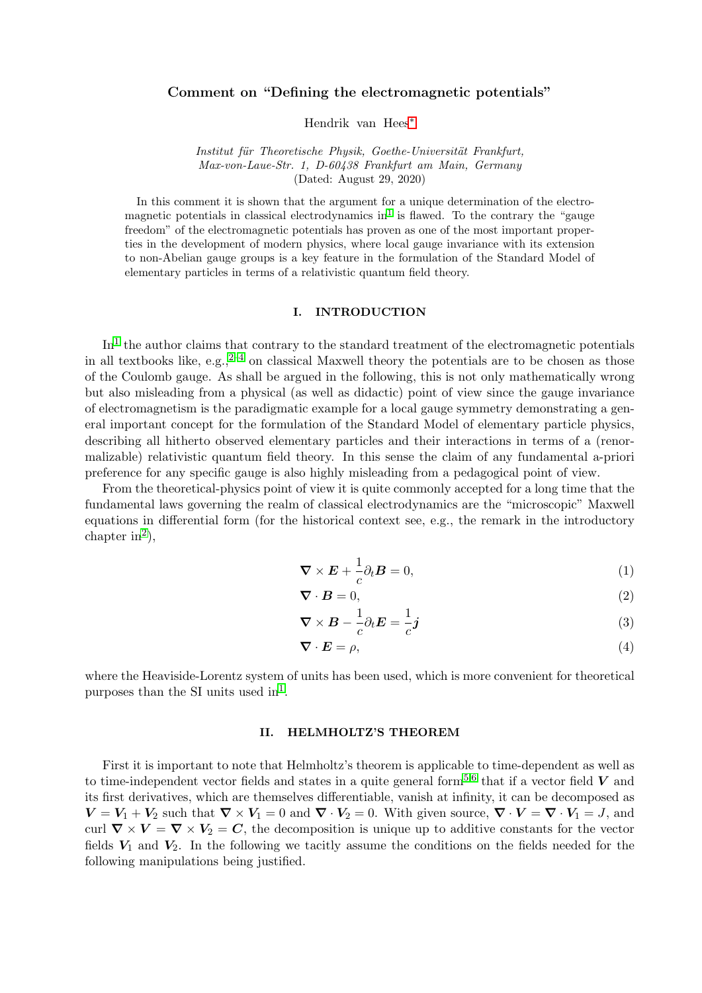# Comment on "Defining the electromagnetic potentials"

Hendrik van Hees[∗](#page-9-0)

Institut für Theoretische Physik, Goethe-Universität Frankfurt, Max-von-Laue-Str. 1, D-60438 Frankfurt am Main, Germany (Dated: August 29, 2020)

In this comment it is shown that the argument for a unique determination of the electro-magnetic potentials in classical electrodynamics in<sup>[1](#page-9-1)</sup> is flawed. To the contrary the "gauge freedom" of the electromagnetic potentials has proven as one of the most important properties in the development of modern physics, where local gauge invariance with its extension to non-Abelian gauge groups is a key feature in the formulation of the Standard Model of elementary particles in terms of a relativistic quantum field theory.

### I. INTRODUCTION

 $\text{In}^1$  $\text{In}^1$  the author claims that contrary to the standard treatment of the electromagnetic potentials in all textbooks like, e.g.,  $2^{-4}$  $2^{-4}$  $2^{-4}$  on classical Maxwell theory the potentials are to be chosen as those of the Coulomb gauge. As shall be argued in the following, this is not only mathematically wrong but also misleading from a physical (as well as didactic) point of view since the gauge invariance of electromagnetism is the paradigmatic example for a local gauge symmetry demonstrating a general important concept for the formulation of the Standard Model of elementary particle physics, describing all hitherto observed elementary particles and their interactions in terms of a (renormalizable) relativistic quantum field theory. In this sense the claim of any fundamental a-priori preference for any specific gauge is also highly misleading from a pedagogical point of view.

From the theoretical-physics point of view it is quite commonly accepted for a long time that the fundamental laws governing the realm of classical electrodynamics are the "microscopic" Maxwell equations in differential form (for the historical context see, e.g., the remark in the introductory chapter in<sup>[2](#page-9-2)</sup>),

<span id="page-0-0"></span>
$$
\nabla \times \boldsymbol{E} + \frac{1}{c} \partial_t \boldsymbol{B} = 0, \qquad (1)
$$

<span id="page-0-2"></span><span id="page-0-1"></span>
$$
\nabla \cdot \mathbf{B} = 0,\tag{2}
$$

$$
\nabla \times \boldsymbol{B} - \frac{1}{c} \partial_t \boldsymbol{E} = \frac{1}{c} \boldsymbol{j} \tag{3}
$$

<span id="page-0-3"></span>
$$
\nabla \cdot \boldsymbol{E} = \rho,\tag{4}
$$

where the Heaviside-Lorentz system of units has been used, which is more convenient for theoretical purposes than the SI units used  $in<sup>1</sup>$  $in<sup>1</sup>$  $in<sup>1</sup>$ .

## <span id="page-0-4"></span>II. HELMHOLTZ'S THEOREM

First it is important to note that Helmholtz's theorem is applicable to time-dependent as well as to time-independent vector fields and states in a quite general form<sup>[5,](#page-9-4)[6](#page-9-5)</sup> that if a vector field  $V$  and its first derivatives, which are themselves differentiable, vanish at infinity, it can be decomposed as  $V = V_1 + V_2$  such that  $\nabla \times V_1 = 0$  and  $\nabla \cdot V_2 = 0$ . With given source,  $\nabla \cdot V = \nabla \cdot V_1 = J$ , and curl  $\nabla \times V = \nabla \times V_2 = C$ , the decomposition is unique up to additive constants for the vector fields  $V_1$  and  $V_2$ . In the following we tacitly assume the conditions on the fields needed for the following manipulations being justified.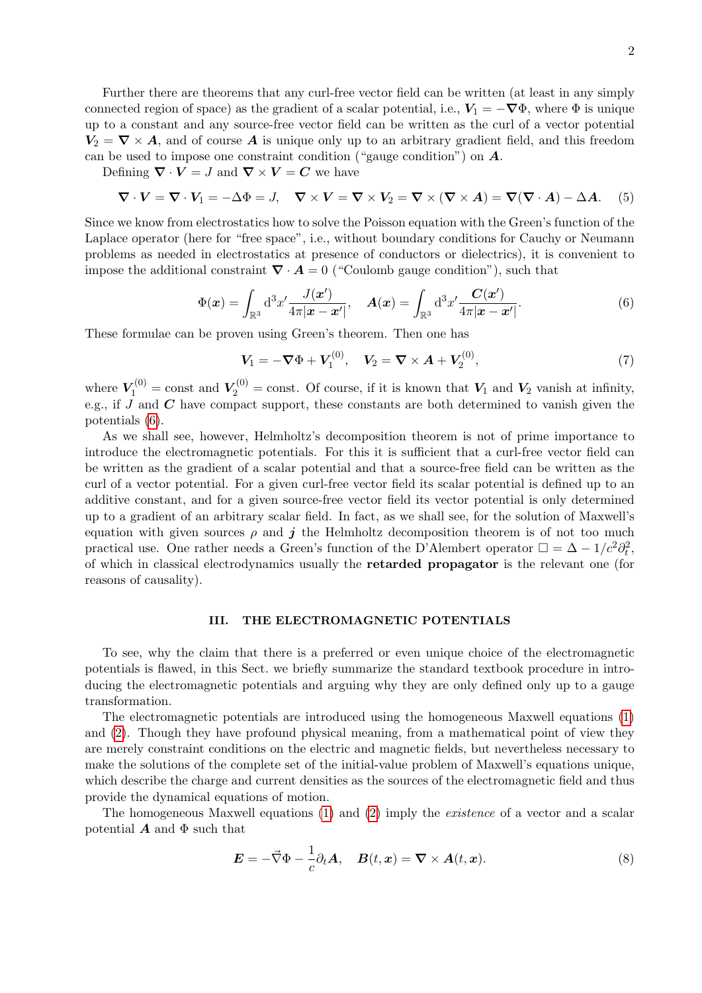Further there are theorems that any curl-free vector field can be written (at least in any simply connected region of space) as the gradient of a scalar potential, i.e.,  $V_1 = -\nabla \Phi$ , where  $\Phi$  is unique up to a constant and any source-free vector field can be written as the curl of a vector potential  $V_2 = \nabla \times A$ , and of course A is unique only up to an arbitrary gradient field, and this freedom can be used to impose one constraint condition ("gauge condition") on  $A$ .

Defining  $\nabla \cdot \mathbf{V} = J$  and  $\nabla \times \mathbf{V} = C$  we have

$$
\nabla \cdot \mathbf{V} = \nabla \cdot \mathbf{V}_1 = -\Delta \Phi = J, \quad \nabla \times \mathbf{V} = \nabla \times \mathbf{V}_2 = \nabla \times (\nabla \times \mathbf{A}) = \nabla (\nabla \cdot \mathbf{A}) - \Delta \mathbf{A}.
$$
 (5)

Since we know from electrostatics how to solve the Poisson equation with the Green's function of the Laplace operator (here for "free space", i.e., without boundary conditions for Cauchy or Neumann problems as needed in electrostatics at presence of conductors or dielectrics), it is convenient to impose the additional constraint  $\nabla \cdot \mathbf{A} = 0$  ("Coulomb gauge condition"), such that

$$
\Phi(\boldsymbol{x}) = \int_{\mathbb{R}^3} d^3 x' \frac{J(\boldsymbol{x}')}{4\pi |\boldsymbol{x} - \boldsymbol{x}'|}, \quad \boldsymbol{A}(\boldsymbol{x}) = \int_{\mathbb{R}^3} d^3 x' \frac{\boldsymbol{C}(\boldsymbol{x}')}{4\pi |\boldsymbol{x} - \boldsymbol{x}'|}.
$$
\n(6)

These formulae can be proven using Green's theorem. Then one has

<span id="page-1-0"></span>
$$
V_1 = -\nabla \Phi + V_1^{(0)}, \quad V_2 = \nabla \times A + V_2^{(0)}, \tag{7}
$$

where  $V_1^{(0)} = \text{const}$  and  $V_2^{(0)} = \text{const}$ . Of course, if it is known that  $V_1$  and  $V_2$  vanish at infinity, e.g., if  $J$  and  $C$  have compact support, these constants are both determined to vanish given the potentials [\(6\)](#page-1-0).

As we shall see, however, Helmholtz's decomposition theorem is not of prime importance to introduce the electromagnetic potentials. For this it is sufficient that a curl-free vector field can be written as the gradient of a scalar potential and that a source-free field can be written as the curl of a vector potential. For a given curl-free vector field its scalar potential is defined up to an additive constant, and for a given source-free vector field its vector potential is only determined up to a gradient of an arbitrary scalar field. In fact, as we shall see, for the solution of Maxwell's equation with given sources  $\rho$  and j the Helmholtz decomposition theorem is of not too much practical use. One rather needs a Green's function of the D'Alembert operator  $\Box = \Delta - 1/c^2 \partial_t^2$ , of which in classical electrodynamics usually the retarded propagator is the relevant one (for reasons of causality).

### <span id="page-1-2"></span>III. THE ELECTROMAGNETIC POTENTIALS

To see, why the claim that there is a preferred or even unique choice of the electromagnetic potentials is flawed, in this Sect. we briefly summarize the standard textbook procedure in introducing the electromagnetic potentials and arguing why they are only defined only up to a gauge transformation.

The electromagnetic potentials are introduced using the homogeneous Maxwell equations [\(1\)](#page-0-0) and [\(2\)](#page-0-1). Though they have profound physical meaning, from a mathematical point of view they are merely constraint conditions on the electric and magnetic fields, but nevertheless necessary to make the solutions of the complete set of the initial-value problem of Maxwell's equations unique, which describe the charge and current densities as the sources of the electromagnetic field and thus provide the dynamical equations of motion.

The homogeneous Maxwell equations [\(1\)](#page-0-0) and [\(2\)](#page-0-1) imply the existence of a vector and a scalar potential  $\boldsymbol{A}$  and  $\boldsymbol{\Phi}$  such that

<span id="page-1-1"></span>
$$
\mathbf{E} = -\vec{\nabla}\Phi - \frac{1}{c}\partial_t \mathbf{A}, \quad \mathbf{B}(t, \mathbf{x}) = \nabla \times \mathbf{A}(t, \mathbf{x}). \tag{8}
$$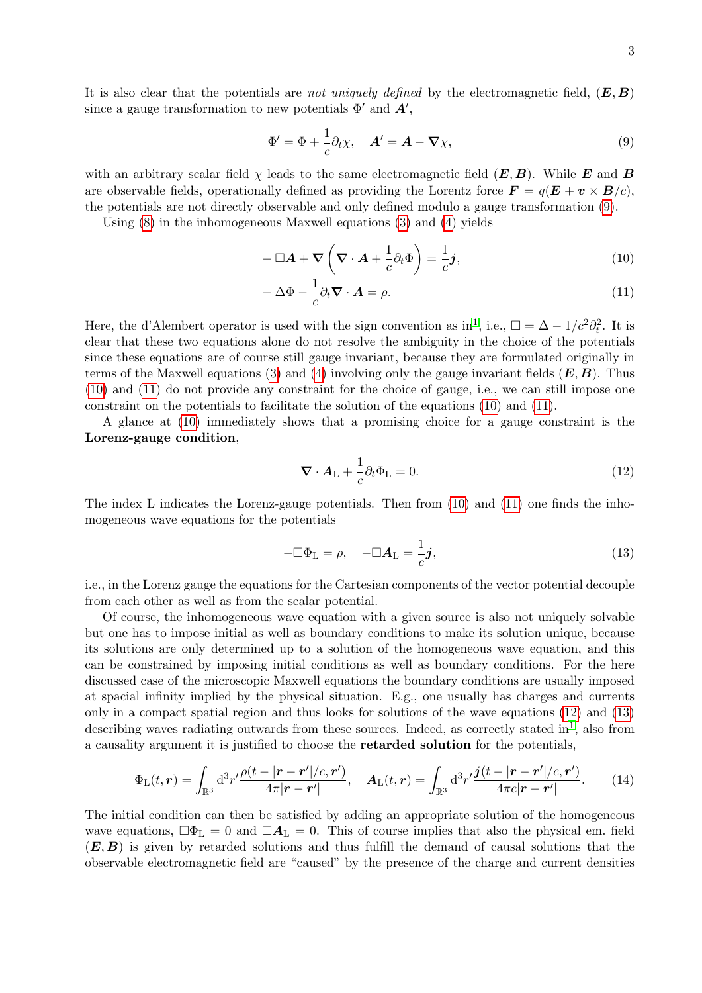It is also clear that the potentials are not uniquely defined by the electromagnetic field,  $(E, B)$ since a gauge transformation to new potentials  $\Phi'$  and  $A'$ ,

<span id="page-2-0"></span>
$$
\Phi' = \Phi + \frac{1}{c}\partial_t \chi, \quad \mathbf{A}' = \mathbf{A} - \nabla \chi,\tag{9}
$$

with an arbitrary scalar field  $\chi$  leads to the same electromagnetic field  $(E, B)$ . While E and B are observable fields, operationally defined as providing the Lorentz force  $\mathbf{F} = q(\mathbf{E} + \mathbf{v} \times \mathbf{B}/c)$ , the potentials are not directly observable and only defined modulo a gauge transformation [\(9\)](#page-2-0).

Using [\(8\)](#page-1-1) in the inhomogeneous Maxwell equations [\(3\)](#page-0-2) and [\(4\)](#page-0-3) yields

<span id="page-2-1"></span>
$$
-\Box \mathbf{A} + \nabla \left(\nabla \cdot \mathbf{A} + \frac{1}{c} \partial_t \Phi\right) = \frac{1}{c} \mathbf{j},\tag{10}
$$

<span id="page-2-2"></span>
$$
-\Delta\Phi - \frac{1}{c}\partial_t \nabla \cdot \mathbf{A} = \rho.
$$
 (11)

Here, the d'Alembert operator is used with the sign convention as in<sup>[1](#page-9-1)</sup>, i.e.,  $\Box = \Delta - 1/c^2 \partial_t^2$ . It is clear that these two equations alone do not resolve the ambiguity in the choice of the potentials since these equations are of course still gauge invariant, because they are formulated originally in terms of the Maxwell equations [\(3\)](#page-0-2) and [\(4\)](#page-0-3) involving only the gauge invariant fields  $(E, B)$ . Thus [\(10\)](#page-2-1) and [\(11\)](#page-2-2) do not provide any constraint for the choice of gauge, i.e., we can still impose one constraint on the potentials to facilitate the solution of the equations [\(10\)](#page-2-1) and [\(11\)](#page-2-2).

A glance at [\(10\)](#page-2-1) immediately shows that a promising choice for a gauge constraint is the Lorenz-gauge condition,

<span id="page-2-4"></span><span id="page-2-3"></span>
$$
\nabla \cdot \mathbf{A}_{\mathcal{L}} + \frac{1}{c} \partial_t \Phi_{\mathcal{L}} = 0. \tag{12}
$$

The index L indicates the Lorenz-gauge potentials. Then from [\(10\)](#page-2-1) and [\(11\)](#page-2-2) one finds the inhomogeneous wave equations for the potentials

<span id="page-2-5"></span>
$$
-\Box \Phi_{\mathcal{L}} = \rho, \quad -\Box \mathcal{A}_{\mathcal{L}} = \frac{1}{c} \mathbf{j}, \tag{13}
$$

i.e., in the Lorenz gauge the equations for the Cartesian components of the vector potential decouple from each other as well as from the scalar potential.

Of course, the inhomogeneous wave equation with a given source is also not uniquely solvable but one has to impose initial as well as boundary conditions to make its solution unique, because its solutions are only determined up to a solution of the homogeneous wave equation, and this can be constrained by imposing initial conditions as well as boundary conditions. For the here discussed case of the microscopic Maxwell equations the boundary conditions are usually imposed at spacial infinity implied by the physical situation. E.g., one usually has charges and currents only in a compact spatial region and thus looks for solutions of the wave equations [\(12\)](#page-2-3) and [\(13\)](#page-2-4) describing waves radiating outwards from these sources. Indeed, as correctly stated in<sup>[1](#page-9-1)</sup>, also from a causality argument it is justified to choose the retarded solution for the potentials,

$$
\Phi_{\mathcal{L}}(t,\mathbf{r}) = \int_{\mathbb{R}^3} d^3 r' \frac{\rho(t - |\mathbf{r} - \mathbf{r}'|/c, \mathbf{r}')}{4\pi |\mathbf{r} - \mathbf{r}'|}, \quad \mathbf{A}_{\mathcal{L}}(t,\mathbf{r}) = \int_{\mathbb{R}^3} d^3 r' \frac{j(t - |\mathbf{r} - \mathbf{r}'|/c, \mathbf{r}')}{4\pi c |\mathbf{r} - \mathbf{r}'|}.
$$
 (14)

The initial condition can then be satisfied by adding an appropriate solution of the homogeneous wave equations,  $\Box \Phi_L = 0$  and  $\Box A_L = 0$ . This of course implies that also the physical em. field  $(E, B)$  is given by retarded solutions and thus fulfill the demand of causal solutions that the observable electromagnetic field are "caused" by the presence of the charge and current densities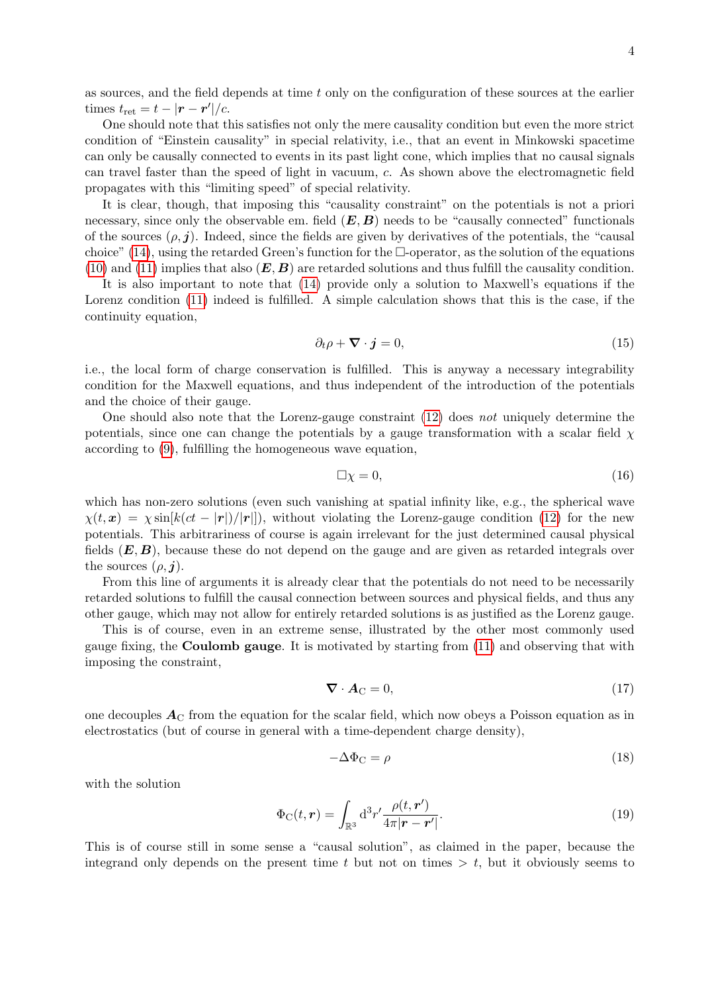as sources, and the field depends at time t only on the configuration of these sources at the earlier times  $t_{\text{ret}} = t - |\boldsymbol{r} - \boldsymbol{r}'|/c$ .

One should note that this satisfies not only the mere causality condition but even the more strict condition of "Einstein causality" in special relativity, i.e., that an event in Minkowski spacetime can only be causally connected to events in its past light cone, which implies that no causal signals can travel faster than the speed of light in vacuum, c. As shown above the electromagnetic field propagates with this "limiting speed" of special relativity.

It is clear, though, that imposing this "causality constraint" on the potentials is not a priori necessary, since only the observable em. field  $(E, B)$  needs to be "causally connected" functionals of the sources  $(\rho, j)$ . Indeed, since the fields are given by derivatives of the potentials, the "causal" choice" [\(14\)](#page-2-5), using the retarded Green's function for the  $\Box$ -operator, as the solution of the equations [\(10\)](#page-2-1) and [\(11\)](#page-2-2) implies that also  $(E, B)$  are retarded solutions and thus fulfill the causality condition.

It is also important to note that [\(14\)](#page-2-5) provide only a solution to Maxwell's equations if the Lorenz condition [\(11\)](#page-2-2) indeed is fulfilled. A simple calculation shows that this is the case, if the continuity equation,

<span id="page-3-3"></span>
$$
\partial_t \rho + \nabla \cdot \mathbf{j} = 0,\tag{15}
$$

i.e., the local form of charge conservation is fulfilled. This is anyway a necessary integrability condition for the Maxwell equations, and thus independent of the introduction of the potentials and the choice of their gauge.

One should also note that the Lorenz-gauge constraint [\(12\)](#page-2-3) does not uniquely determine the potentials, since one can change the potentials by a gauge transformation with a scalar field  $\chi$ according to [\(9\)](#page-2-0), fulfilling the homogeneous wave equation,

<span id="page-3-1"></span>
$$
\Box \chi = 0,\tag{16}
$$

which has non-zero solutions (even such vanishing at spatial infinity like, e.g., the spherical wave  $\chi(t, x) = \chi \sin[k(ct - |r|)/|r|]$ , without violating the Lorenz-gauge condition [\(12\)](#page-2-3) for the new potentials. This arbitrariness of course is again irrelevant for the just determined causal physical fields  $(E, B)$ , because these do not depend on the gauge and are given as retarded integrals over the sources  $(\rho, j)$ .

From this line of arguments it is already clear that the potentials do not need to be necessarily retarded solutions to fulfill the causal connection between sources and physical fields, and thus any other gauge, which may not allow for entirely retarded solutions is as justified as the Lorenz gauge.

This is of course, even in an extreme sense, illustrated by the other most commonly used gauge fixing, the Coulomb gauge. It is motivated by starting from [\(11\)](#page-2-2) and observing that with imposing the constraint,

<span id="page-3-2"></span><span id="page-3-0"></span>
$$
\nabla \cdot \mathbf{A}_{\mathbf{C}} = 0,\tag{17}
$$

one decouples  $A_{\rm C}$  from the equation for the scalar field, which now obeys a Poisson equation as in electrostatics (but of course in general with a time-dependent charge density),

$$
-\Delta\Phi_{\rm C} = \rho \tag{18}
$$

with the solution

$$
\Phi_{\mathcal{C}}(t,\mathbf{r}) = \int_{\mathbb{R}^3} d^3 r' \frac{\rho(t,\mathbf{r}')}{4\pi |\mathbf{r} - \mathbf{r}'|}.
$$
\n(19)

This is of course still in some sense a "causal solution", as claimed in the paper, because the integrand only depends on the present time t but not on times  $> t$ , but it obviously seems to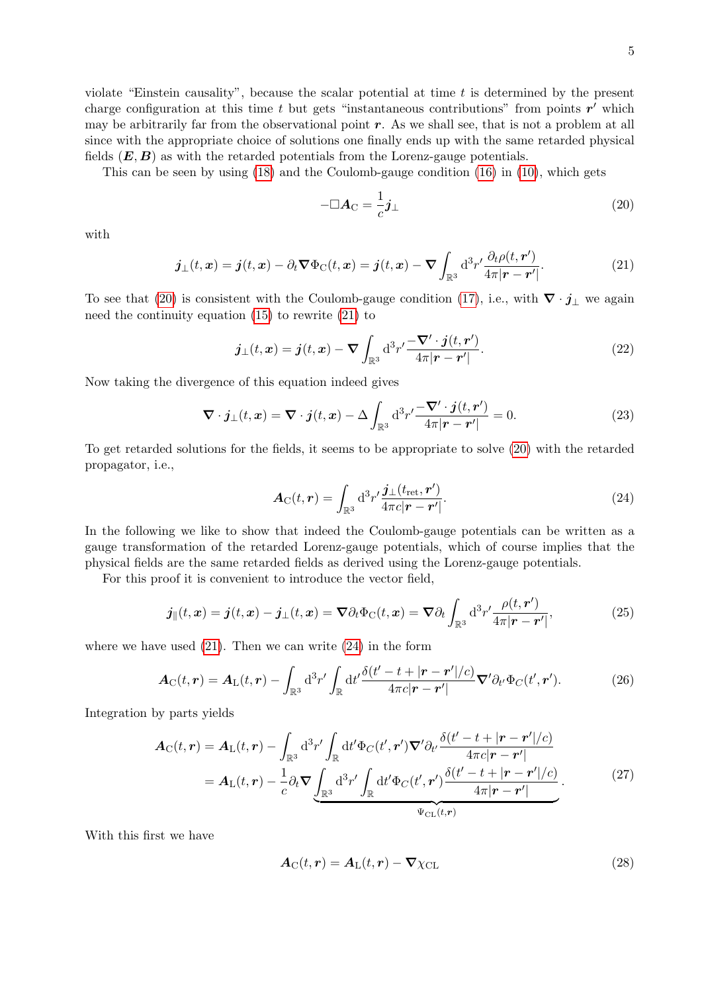violate "Einstein causality", because the scalar potential at time t is determined by the present charge configuration at this time t but gets "instantaneous contributions" from points  $r'$  which may be arbitrarily far from the observational point  $r$ . As we shall see, that is not a problem at all since with the appropriate choice of solutions one finally ends up with the same retarded physical fields  $(E, B)$  as with the retarded potentials from the Lorenz-gauge potentials.

This can be seen by using [\(18\)](#page-3-0) and the Coulomb-gauge condition [\(16\)](#page-3-1) in [\(10\)](#page-2-1), which gets

<span id="page-4-0"></span>
$$
-\Box A_{\rm C} = \frac{1}{c} \boldsymbol{j}_{\perp} \tag{20}
$$

<span id="page-4-1"></span>with

$$
\boldsymbol{j}_{\perp}(t,\boldsymbol{x}) = \boldsymbol{j}(t,\boldsymbol{x}) - \partial_t \boldsymbol{\nabla} \Phi_{\text{C}}(t,\boldsymbol{x}) = \boldsymbol{j}(t,\boldsymbol{x}) - \boldsymbol{\nabla} \int_{\mathbb{R}^3} d^3 r' \frac{\partial_t \rho(t,\boldsymbol{r}')}{4\pi |\boldsymbol{r} - \boldsymbol{r}'|}.
$$
 (21)

To see that [\(20\)](#page-4-0) is consistent with the Coulomb-gauge condition [\(17\)](#page-3-2), i.e., with  $\nabla \cdot \mathbf{j}_{\perp}$  we again need the continuity equation [\(15\)](#page-3-3) to rewrite [\(21\)](#page-4-1) to

$$
\boldsymbol{j}_{\perp}(t,\boldsymbol{x}) = \boldsymbol{j}(t,\boldsymbol{x}) - \boldsymbol{\nabla} \int_{\mathbb{R}^3} d^3 r' \frac{-\boldsymbol{\nabla}' \cdot \boldsymbol{j}(t,\boldsymbol{r}')}{4\pi |\boldsymbol{r} - \boldsymbol{r}'|}.
$$
\n(22)

Now taking the divergence of this equation indeed gives

<span id="page-4-2"></span>
$$
\nabla \cdot \boldsymbol{j}_{\perp}(t,\boldsymbol{x}) = \nabla \cdot \boldsymbol{j}(t,\boldsymbol{x}) - \Delta \int_{\mathbb{R}^3} d^3 r' \frac{-\nabla' \cdot \boldsymbol{j}(t,\boldsymbol{r}')}{4\pi |\boldsymbol{r} - \boldsymbol{r}'|} = 0.
$$
 (23)

To get retarded solutions for the fields, it seems to be appropriate to solve [\(20\)](#page-4-0) with the retarded propagator, i.e.,

$$
\mathbf{A}_{\mathrm{C}}(t,\mathbf{r}) = \int_{\mathbb{R}^3} d^3 r' \frac{\mathbf{j}_{\perp}(t_{\mathrm{ret}},\mathbf{r}')}{4\pi c |\mathbf{r} - \mathbf{r}'|}.
$$
 (24)

In the following we like to show that indeed the Coulomb-gauge potentials can be written as a gauge transformation of the retarded Lorenz-gauge potentials, which of course implies that the physical fields are the same retarded fields as derived using the Lorenz-gauge potentials.

For this proof it is convenient to introduce the vector field,

$$
\boldsymbol{j}_{\parallel}(t,\boldsymbol{x}) = \boldsymbol{j}(t,\boldsymbol{x}) - \boldsymbol{j}_{\perp}(t,\boldsymbol{x}) = \boldsymbol{\nabla}\partial_t \Phi_{\text{C}}(t,\boldsymbol{x}) = \boldsymbol{\nabla}\partial_t \int_{\mathbb{R}^3} \mathrm{d}^3 r' \frac{\rho(t,r')}{4\pi|\boldsymbol{r}-\boldsymbol{r}'|},\tag{25}
$$

where we have used  $(21)$ . Then we can write  $(24)$  in the form

<span id="page-4-3"></span>
$$
\boldsymbol{A}_{\mathrm{C}}(t,\boldsymbol{r}) = \boldsymbol{A}_{\mathrm{L}}(t,\boldsymbol{r}) - \int_{\mathbb{R}^3} d^3 r' \int_{\mathbb{R}} dt' \frac{\delta(t'-t+|\boldsymbol{r}-\boldsymbol{r}'|/c)}{4\pi c|\boldsymbol{r}-\boldsymbol{r}'|} \boldsymbol{\nabla}' \partial_{t'} \Phi_{\mathrm{C}}(t',\boldsymbol{r}'). \tag{26}
$$

Integration by parts yields

$$
A_{\rm C}(t,\mathbf{r}) = A_{\rm L}(t,\mathbf{r}) - \int_{\mathbb{R}^3} d^3 r' \int_{\mathbb{R}} dt' \Phi_C(t',\mathbf{r}') \nabla' \partial_{t'} \frac{\delta(t'-t+|\mathbf{r}-\mathbf{r}'|/c)}{4\pi c|\mathbf{r}-\mathbf{r}'|} = A_{\rm L}(t,\mathbf{r}) - \frac{1}{c} \partial_t \nabla \underbrace{\int_{\mathbb{R}^3} d^3 r' \int_{\mathbb{R}} dt' \Phi_C(t',\mathbf{r}') \frac{\delta(t'-t+|\mathbf{r}-\mathbf{r}'|/c)}{4\pi |\mathbf{r}-\mathbf{r}'|}}_{\Psi_{\rm CL}(t,\mathbf{r})}.
$$
(27)

With this first we have

$$
\mathbf{A}_{\mathrm{C}}(t,\mathbf{r}) = \mathbf{A}_{\mathrm{L}}(t,\mathbf{r}) - \nabla \chi_{\mathrm{CL}} \tag{28}
$$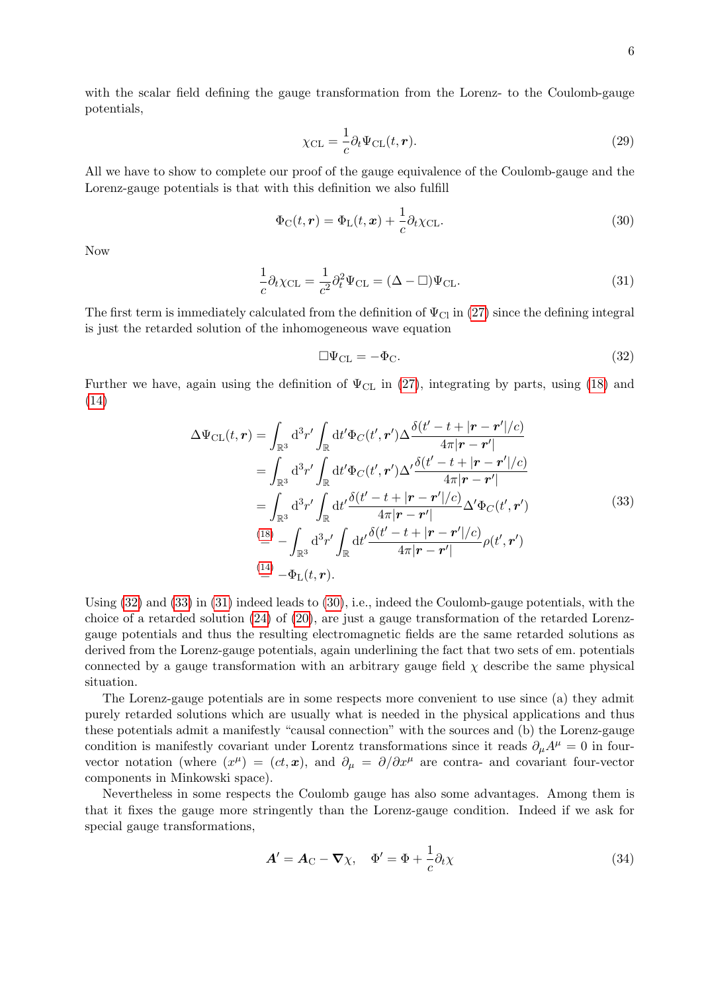<span id="page-5-3"></span>
$$
\chi_{\rm CL} = \frac{1}{c} \partial_t \Psi_{\rm CL}(t, \mathbf{r}). \tag{29}
$$

All we have to show to complete our proof of the gauge equivalence of the Coulomb-gauge and the Lorenz-gauge potentials is that with this definition we also fulfill

$$
\Phi_{\rm C}(t,\mathbf{r}) = \Phi_{\rm L}(t,\mathbf{x}) + \frac{1}{c}\partial_t \chi_{\rm CL}.
$$
\n(30)

<span id="page-5-2"></span>Now

$$
\frac{1}{c}\partial_t \chi_{\text{CL}} = \frac{1}{c^2} \partial_t^2 \Psi_{\text{CL}} = (\Delta - \Box) \Psi_{\text{CL}}.
$$
\n(31)

The first term is immediately calculated from the definition of  $\Psi_{\text{Cl}}$  in [\(27\)](#page-4-3) since the defining integral is just the retarded solution of the inhomogeneous wave equation

<span id="page-5-0"></span>
$$
\Box \Psi_{\rm CL} = -\Phi_{\rm C}.\tag{32}
$$

<span id="page-5-1"></span>Further we have, again using the definition of  $\Psi_{CL}$  in [\(27\)](#page-4-3), integrating by parts, using [\(18\)](#page-3-0) and [\(14\)](#page-2-5)

$$
\Delta\Psi_{\text{CL}}(t,\mathbf{r}) = \int_{\mathbb{R}^3} d^3r' \int_{\mathbb{R}} dt' \Phi_C(t',\mathbf{r}') \Delta \frac{\delta(t'-t+|\mathbf{r}-\mathbf{r}'|/c)}{4\pi|\mathbf{r}-\mathbf{r}'|} \n= \int_{\mathbb{R}^3} d^3r' \int_{\mathbb{R}} dt' \Phi_C(t',\mathbf{r}') \Delta' \frac{\delta(t'-t+|\mathbf{r}-\mathbf{r}'|/c)}{4\pi|\mathbf{r}-\mathbf{r}'|} \n= \int_{\mathbb{R}^3} d^3r' \int_{\mathbb{R}} dt' \frac{\delta(t'-t+|\mathbf{r}-\mathbf{r}'|/c)}{4\pi|\mathbf{r}-\mathbf{r}'|} \Delta' \Phi_C(t',\mathbf{r}')
$$
\n(33)\n
$$
\stackrel{\text{(18)}}{=} -\int_{\mathbb{R}^3} d^3r' \int_{\mathbb{R}} dt' \frac{\delta(t'-t+|\mathbf{r}-\mathbf{r}'|/c)}{4\pi|\mathbf{r}-\mathbf{r}'|} \rho(t',\mathbf{r}')
$$
\n
$$
\stackrel{\text{(14)}}{=} -\Phi_{\text{L}}(t,\mathbf{r}).
$$

Using [\(32\)](#page-5-0) and [\(33\)](#page-5-1) in [\(31\)](#page-5-2) indeed leads to [\(30\)](#page-5-3), i.e., indeed the Coulomb-gauge potentials, with the choice of a retarded solution [\(24\)](#page-4-2) of [\(20\)](#page-4-0), are just a gauge transformation of the retarded Lorenzgauge potentials and thus the resulting electromagnetic fields are the same retarded solutions as derived from the Lorenz-gauge potentials, again underlining the fact that two sets of em. potentials connected by a gauge transformation with an arbitrary gauge field  $\chi$  describe the same physical situation.

The Lorenz-gauge potentials are in some respects more convenient to use since (a) they admit purely retarded solutions which are usually what is needed in the physical applications and thus these potentials admit a manifestly "causal connection" with the sources and (b) the Lorenz-gauge condition is manifestly covariant under Lorentz transformations since it reads  $\partial_{\mu}A^{\mu} = 0$  in fourvector notation (where  $(x^{\mu}) = (ct, x)$ , and  $\partial_{\mu} = \partial/\partial x^{\mu}$  are contra- and covariant four-vector components in Minkowski space).

Nevertheless in some respects the Coulomb gauge has also some advantages. Among them is that it fixes the gauge more stringently than the Lorenz-gauge condition. Indeed if we ask for special gauge transformations,

$$
\mathbf{A}' = \mathbf{A}_{\mathrm{C}} - \nabla \chi, \quad \Phi' = \Phi + \frac{1}{c} \partial_t \chi \tag{34}
$$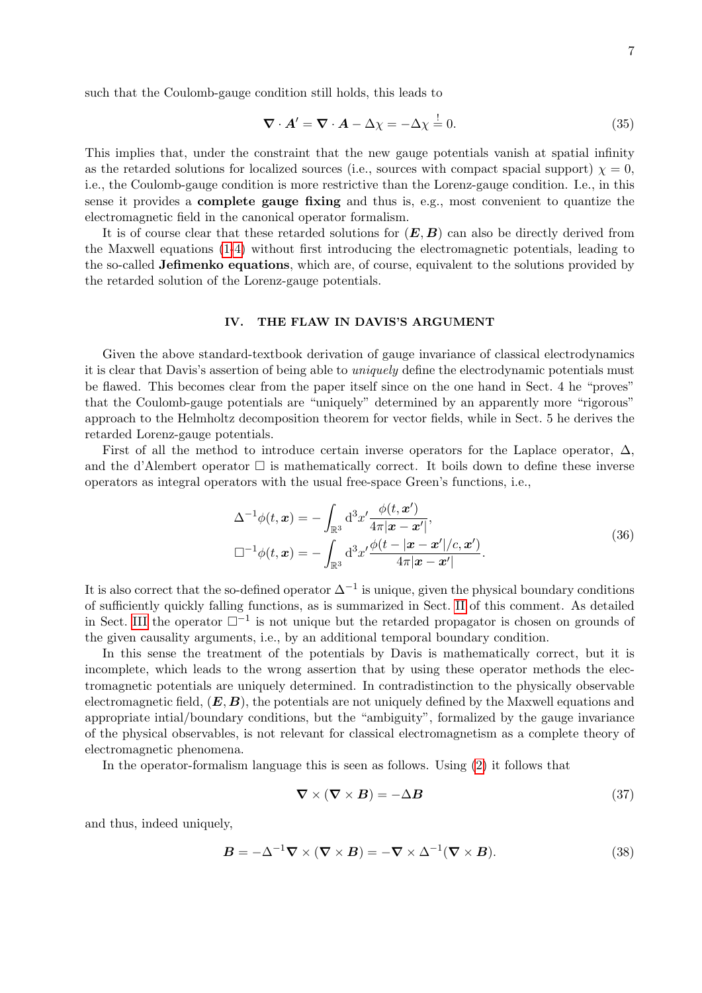such that the Coulomb-gauge condition still holds, this leads to

$$
\nabla \cdot \mathbf{A}' = \nabla \cdot \mathbf{A} - \Delta \chi = -\Delta \chi \stackrel{!}{=} 0. \tag{35}
$$

This implies that, under the constraint that the new gauge potentials vanish at spatial infinity as the retarded solutions for localized sources (i.e., sources with compact spacial support)  $\chi = 0$ , i.e., the Coulomb-gauge condition is more restrictive than the Lorenz-gauge condition. I.e., in this sense it provides a complete gauge fixing and thus is, e.g., most convenient to quantize the electromagnetic field in the canonical operator formalism.

It is of course clear that these retarded solutions for  $(E, B)$  can also be directly derived from the Maxwell equations [\(1-](#page-0-0)[4\)](#page-0-3) without first introducing the electromagnetic potentials, leading to the so-called Jefimenko equations, which are, of course, equivalent to the solutions provided by the retarded solution of the Lorenz-gauge potentials.

#### IV. THE FLAW IN DAVIS'S ARGUMENT

Given the above standard-textbook derivation of gauge invariance of classical electrodynamics it is clear that Davis's assertion of being able to uniquely define the electrodynamic potentials must be flawed. This becomes clear from the paper itself since on the one hand in Sect. 4 he "proves" that the Coulomb-gauge potentials are "uniquely" determined by an apparently more "rigorous" approach to the Helmholtz decomposition theorem for vector fields, while in Sect. 5 he derives the retarded Lorenz-gauge potentials.

First of all the method to introduce certain inverse operators for the Laplace operator,  $\Delta$ , and the d'Alembert operator  $\Box$  is mathematically correct. It boils down to define these inverse operators as integral operators with the usual free-space Green's functions, i.e.,

$$
\Delta^{-1}\phi(t,\mathbf{x}) = -\int_{\mathbb{R}^3} d^3x' \frac{\phi(t,\mathbf{x}')}{4\pi|\mathbf{x}-\mathbf{x}'|},
$$
  

$$
\Box^{-1}\phi(t,\mathbf{x}) = -\int_{\mathbb{R}^3} d^3x' \frac{\phi(t-|\mathbf{x}-\mathbf{x}'|/c,\mathbf{x}')}{4\pi|\mathbf{x}-\mathbf{x}'|}.
$$
 (36)

It is also correct that the so-defined operator  $\Delta^{-1}$  is unique, given the physical boundary conditions of sufficiently quickly falling functions, as is summarized in Sect. [II](#page-0-4) of this comment. As detailed in Sect. [III](#page-1-2) the operator  $\square^{-1}$  is not unique but the retarded propagator is chosen on grounds of the given causality arguments, i.e., by an additional temporal boundary condition.

In this sense the treatment of the potentials by Davis is mathematically correct, but it is incomplete, which leads to the wrong assertion that by using these operator methods the electromagnetic potentials are uniquely determined. In contradistinction to the physically observable electromagnetic field,  $(E, B)$ , the potentials are not uniquely defined by the Maxwell equations and appropriate intial/boundary conditions, but the "ambiguity", formalized by the gauge invariance of the physical observables, is not relevant for classical electromagnetism as a complete theory of electromagnetic phenomena.

In the operator-formalism language this is seen as follows. Using [\(2\)](#page-0-1) it follows that

$$
\nabla \times (\nabla \times \mathbf{B}) = -\Delta \mathbf{B} \tag{37}
$$

and thus, indeed uniquely,

$$
\mathbf{B} = -\Delta^{-1} \nabla \times (\nabla \times \mathbf{B}) = -\nabla \times \Delta^{-1} (\nabla \times \mathbf{B}).
$$
\n(38)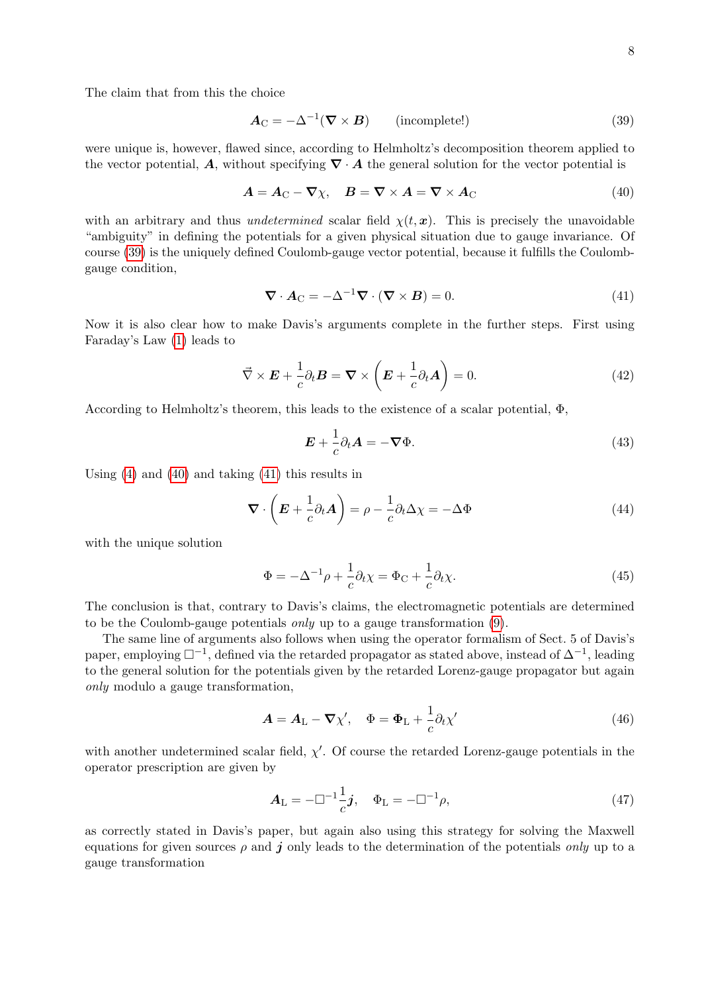The claim that from this the choice

<span id="page-7-1"></span><span id="page-7-0"></span>
$$
\mathbf{A}_{\mathbf{C}} = -\Delta^{-1}(\mathbf{\nabla} \times \mathbf{B}) \qquad \text{(incomplete!)} \tag{39}
$$

were unique is, however, flawed since, according to Helmholtz's decomposition theorem applied to the vector potential, A, without specifying  $\nabla \cdot A$  the general solution for the vector potential is

$$
A = A_{\rm C} - \nabla \chi, \quad B = \nabla \times A = \nabla \times A_{\rm C}
$$
\n<sup>(40)</sup>

with an arbitrary and thus *undetermined* scalar field  $\chi(t, x)$ . This is precisely the unavoidable "ambiguity" in defining the potentials for a given physical situation due to gauge invariance. Of course [\(39\)](#page-7-0) is the uniquely defined Coulomb-gauge vector potential, because it fulfills the Coulombgauge condition,

<span id="page-7-2"></span>
$$
\nabla \cdot \mathbf{A}_{\mathbf{C}} = -\Delta^{-1} \nabla \cdot (\nabla \times \mathbf{B}) = 0.
$$
 (41)

Now it is also clear how to make Davis's arguments complete in the further steps. First using Faraday's Law [\(1\)](#page-0-0) leads to

$$
\vec{\nabla} \times \boldsymbol{E} + \frac{1}{c} \partial_t \boldsymbol{B} = \boldsymbol{\nabla} \times \left( \boldsymbol{E} + \frac{1}{c} \partial_t \boldsymbol{A} \right) = 0. \tag{42}
$$

According to Helmholtz's theorem, this leads to the existence of a scalar potential,  $\Phi$ ,

$$
\mathbf{E} + \frac{1}{c}\partial_t \mathbf{A} = -\nabla \Phi.
$$
 (43)

Using [\(4\)](#page-0-3) and [\(40\)](#page-7-1) and taking [\(41\)](#page-7-2) this results in

$$
\nabla \cdot \left( \boldsymbol{E} + \frac{1}{c} \partial_t \boldsymbol{A} \right) = \rho - \frac{1}{c} \partial_t \Delta \chi = -\Delta \Phi \tag{44}
$$

with the unique solution

$$
\Phi = -\Delta^{-1}\rho + \frac{1}{c}\partial_t\chi = \Phi_C + \frac{1}{c}\partial_t\chi.
$$
\n(45)

The conclusion is that, contrary to Davis's claims, the electromagnetic potentials are determined to be the Coulomb-gauge potentials only up to a gauge transformation [\(9\)](#page-2-0).

The same line of arguments also follows when using the operator formalism of Sect. 5 of Davis's paper, employing  $\square^{-1}$ , defined via the retarded propagator as stated above, instead of  $\Delta^{-1}$ , leading to the general solution for the potentials given by the retarded Lorenz-gauge propagator but again only modulo a gauge transformation,

$$
\mathbf{A} = \mathbf{A}_{\mathrm{L}} - \boldsymbol{\nabla} \chi', \quad \Phi = \Phi_{\mathrm{L}} + \frac{1}{c} \partial_t \chi' \tag{46}
$$

with another undetermined scalar field,  $\chi'$ . Of course the retarded Lorenz-gauge potentials in the operator prescription are given by

$$
A_{\rm L} = -\Box^{-1} \frac{1}{c} j, \quad \Phi_{\rm L} = -\Box^{-1} \rho,
$$
\n(47)

as correctly stated in Davis's paper, but again also using this strategy for solving the Maxwell equations for given sources  $\rho$  and j only leads to the determination of the potentials *only* up to a gauge transformation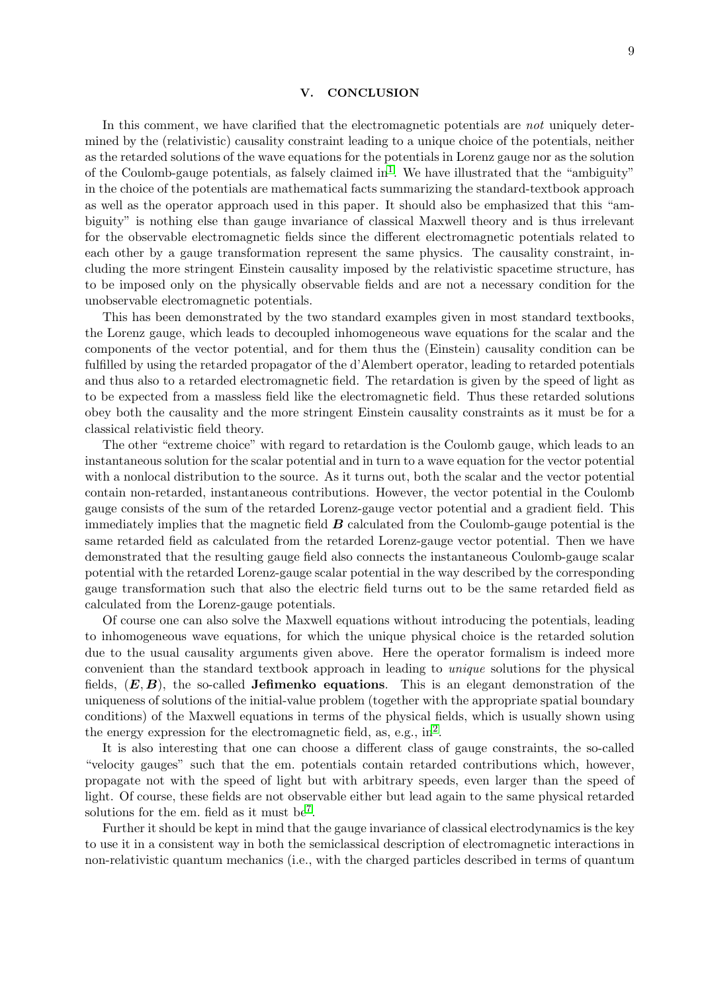#### V. CONCLUSION

In this comment, we have clarified that the electromagnetic potentials are not uniquely determined by the (relativistic) causality constraint leading to a unique choice of the potentials, neither as the retarded solutions of the wave equations for the potentials in Lorenz gauge nor as the solution of the Coulomb-gauge potentials, as falsely claimed  $\text{in}^1$  $\text{in}^1$ . We have illustrated that the "ambiguity" in the choice of the potentials are mathematical facts summarizing the standard-textbook approach as well as the operator approach used in this paper. It should also be emphasized that this "ambiguity" is nothing else than gauge invariance of classical Maxwell theory and is thus irrelevant for the observable electromagnetic fields since the different electromagnetic potentials related to each other by a gauge transformation represent the same physics. The causality constraint, including the more stringent Einstein causality imposed by the relativistic spacetime structure, has to be imposed only on the physically observable fields and are not a necessary condition for the unobservable electromagnetic potentials.

This has been demonstrated by the two standard examples given in most standard textbooks, the Lorenz gauge, which leads to decoupled inhomogeneous wave equations for the scalar and the components of the vector potential, and for them thus the (Einstein) causality condition can be fulfilled by using the retarded propagator of the d'Alembert operator, leading to retarded potentials and thus also to a retarded electromagnetic field. The retardation is given by the speed of light as to be expected from a massless field like the electromagnetic field. Thus these retarded solutions obey both the causality and the more stringent Einstein causality constraints as it must be for a classical relativistic field theory.

The other "extreme choice" with regard to retardation is the Coulomb gauge, which leads to an instantaneous solution for the scalar potential and in turn to a wave equation for the vector potential with a nonlocal distribution to the source. As it turns out, both the scalar and the vector potential contain non-retarded, instantaneous contributions. However, the vector potential in the Coulomb gauge consists of the sum of the retarded Lorenz-gauge vector potential and a gradient field. This immediately implies that the magnetic field  $\boldsymbol{B}$  calculated from the Coulomb-gauge potential is the same retarded field as calculated from the retarded Lorenz-gauge vector potential. Then we have demonstrated that the resulting gauge field also connects the instantaneous Coulomb-gauge scalar potential with the retarded Lorenz-gauge scalar potential in the way described by the corresponding gauge transformation such that also the electric field turns out to be the same retarded field as calculated from the Lorenz-gauge potentials.

Of course one can also solve the Maxwell equations without introducing the potentials, leading to inhomogeneous wave equations, for which the unique physical choice is the retarded solution due to the usual causality arguments given above. Here the operator formalism is indeed more convenient than the standard textbook approach in leading to unique solutions for the physical fields,  $(E, B)$ , the so-called **Jefimenko equations**. This is an elegant demonstration of the uniqueness of solutions of the initial-value problem (together with the appropriate spatial boundary conditions) of the Maxwell equations in terms of the physical fields, which is usually shown using the energy expression for the electromagnetic field, as, e.g.,  $in^2$  $in^2$ .

It is also interesting that one can choose a different class of gauge constraints, the so-called "velocity gauges" such that the em. potentials contain retarded contributions which, however, propagate not with the speed of light but with arbitrary speeds, even larger than the speed of light. Of course, these fields are not observable either but lead again to the same physical retarded solutions for the em. field as it must be<sup>[7](#page-9-6)</sup>.

Further it should be kept in mind that the gauge invariance of classical electrodynamics is the key to use it in a consistent way in both the semiclassical description of electromagnetic interactions in non-relativistic quantum mechanics (i.e., with the charged particles described in terms of quantum